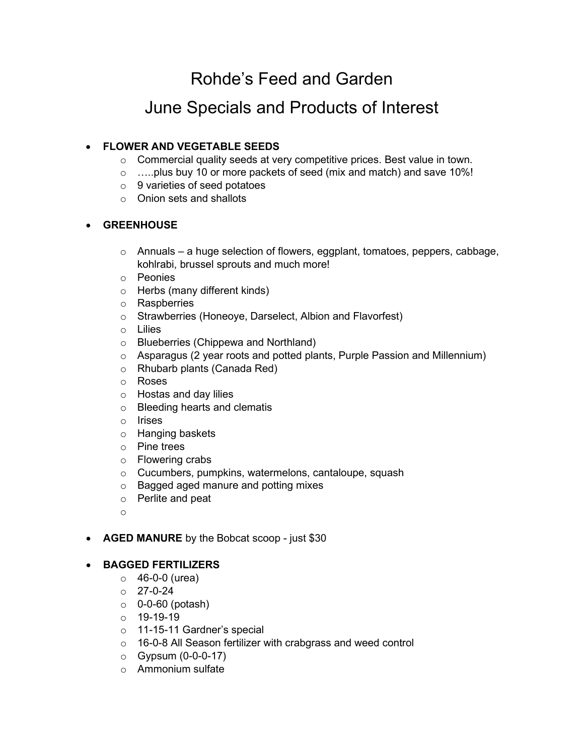Rohde's Feed and Garden

# June Specials and Products of Interest

## • **FLOWER AND VEGETABLE SEEDS**

- o Commercial quality seeds at very competitive prices. Best value in town.
- o …..plus buy 10 or more packets of seed (mix and match) and save 10%!
- $\circ$  9 varieties of seed potatoes
- o Onion sets and shallots

#### • **GREENHOUSE**

- o Annuals a huge selection of flowers, eggplant, tomatoes, peppers, cabbage, kohlrabi, brussel sprouts and much more!
- o Peonies
- o Herbs (many different kinds)
- o Raspberries
- o Strawberries (Honeoye, Darselect, Albion and Flavorfest)
- o Lilies
- o Blueberries (Chippewa and Northland)
- o Asparagus (2 year roots and potted plants, Purple Passion and Millennium)
- o Rhubarb plants (Canada Red)
- o Roses
- o Hostas and day lilies
- o Bleeding hearts and clematis
- o Irises
- o Hanging baskets
- o Pine trees
- o Flowering crabs
- o Cucumbers, pumpkins, watermelons, cantaloupe, squash
- o Bagged aged manure and potting mixes
- o Perlite and peat
- o
- **AGED MANURE** by the Bobcat scoop just \$30

### • **BAGGED FERTILIZERS**

- $\circ$  46-0-0 (urea)
- o 27-0-24
- $\circ$  0-0-60 (potash)
- o 19-19-19
- o 11-15-11 Gardner's special
- o 16-0-8 All Season fertilizer with crabgrass and weed control
- o Gypsum (0-0-0-17)
- o Ammonium sulfate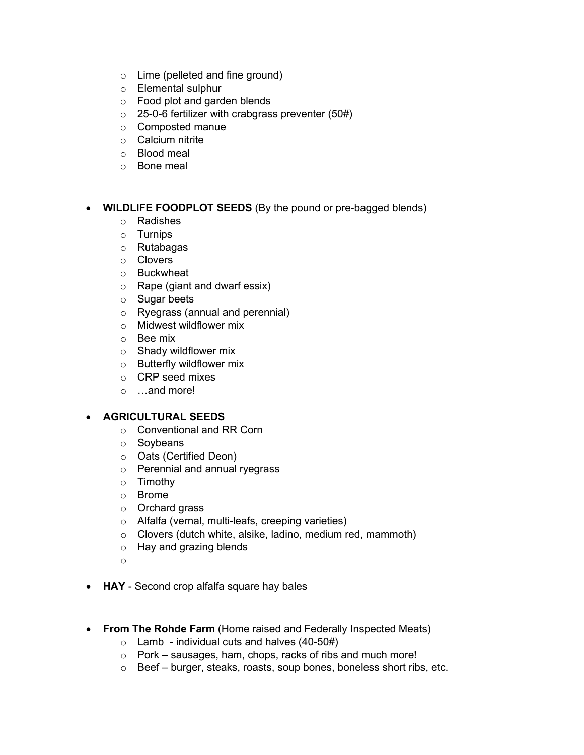- o Lime (pelleted and fine ground)
- o Elemental sulphur
- o Food plot and garden blends
- $\circ$  25-0-6 fertilizer with crabgrass preventer (50#)
- o Composted manue
- o Calcium nitrite
- o Blood meal
- o Bone meal

### • **WILDLIFE FOODPLOT SEEDS** (By the pound or pre-bagged blends)

- o Radishes
- o Turnips
- o Rutabagas
- o Clovers
- o Buckwheat
- o Rape (giant and dwarf essix)
- o Sugar beets
- o Ryegrass (annual and perennial)
- o Midwest wildflower mix
- o Bee mix
- o Shady wildflower mix
- o Butterfly wildflower mix
- o CRP seed mixes
- o …and more!

### • **AGRICULTURAL SEEDS**

- o Conventional and RR Corn
- o Soybeans
- o Oats (Certified Deon)
- o Perennial and annual ryegrass
- o Timothy
- o Brome
- o Orchard grass
- o Alfalfa (vernal, multi-leafs, creeping varieties)
- o Clovers (dutch white, alsike, ladino, medium red, mammoth)
- o Hay and grazing blends
- o
- **HAY** Second crop alfalfa square hay bales
- **From The Rohde Farm** (Home raised and Federally Inspected Meats)
	- $\circ$  Lamb individual cuts and halves (40-50#)
	- o Pork sausages, ham, chops, racks of ribs and much more!
	- o Beef burger, steaks, roasts, soup bones, boneless short ribs, etc.